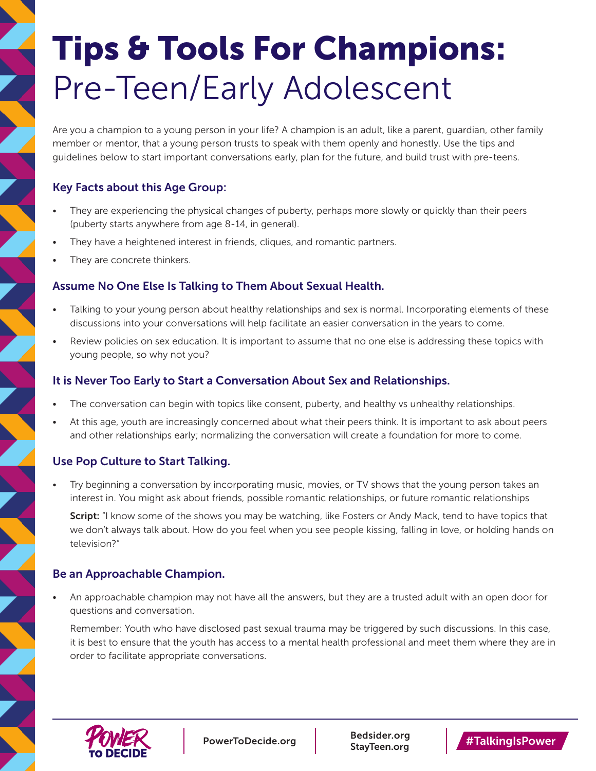# Tips & Tools For Champions: Pre-Teen/Early Adolescent

Are you a champion to a young person in your life? A champion is an adult, like a parent, guardian, other family member or mentor, that a young person trusts to speak with them openly and honestly. Use the tips and guidelines below to start important conversations early, plan for the future, and build trust with pre-teens.

# Key Facts about this Age Group:

- They are experiencing the physical changes of puberty, perhaps more slowly or quickly than their peers (puberty starts anywhere from age 8-14, in general).
- They have a heightened interest in friends, cliques, and romantic partners.
- They are concrete thinkers.

#### Assume No One Else Is Talking to Them About Sexual Health.

- Talking to your young person about healthy relationships and sex is normal. Incorporating elements of these discussions into your conversations will help facilitate an easier conversation in the years to come.
- Review policies on sex education. It is important to assume that no one else is addressing these topics with young people, so why not you?

#### It is Never Too Early to Start a Conversation About Sex and Relationships.

- The conversation can begin with topics like consent, puberty, and healthy vs unhealthy relationships.
- At this age, youth are increasingly concerned about what their peers think. It is important to ask about peers and other relationships early; normalizing the conversation will create a foundation for more to come.

### Use Pop Culture to Start Talking.

• Try beginning a conversation by incorporating music, movies, or TV shows that the young person takes an interest in. You might ask about friends, possible romantic relationships, or future romantic relationships

Script: "I know some of the shows you may be watching, like Fosters or Andy Mack, tend to have topics that we don't always talk about. How do you feel when you see people kissing, falling in love, or holding hands on television?"

#### Be an Approachable Champion.

• An approachable champion may not have all the answers, but they are a trusted adult with an open door for questions and conversation.

Remember: Youth who have disclosed past sexual trauma may be triggered by such discussions. In this case, it is best to ensure that the youth has access to a mental health professional and meet them where they are in order to facilitate appropriate conversations.



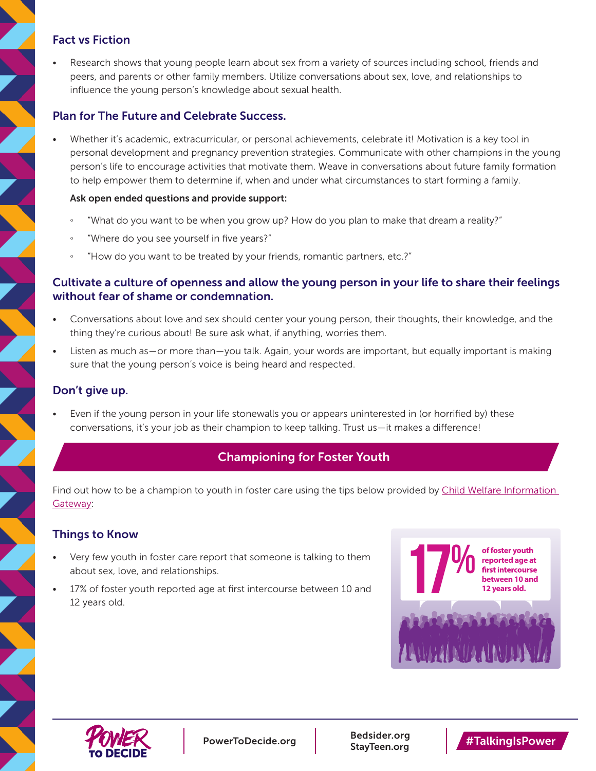### Fact vs Fiction

Research shows that young people learn about sex from a variety of sources including school, friends and peers, and parents or other family members. Utilize conversations about sex, love, and relationships to influence the young person's knowledge about sexual health.

#### Plan for The Future and Celebrate Success.

• Whether it's academic, extracurricular, or personal achievements, celebrate it! Motivation is a key tool in personal development and pregnancy prevention strategies. Communicate with other champions in the young person's life to encourage activities that motivate them. Weave in conversations about future family formation to help empower them to determine if, when and under what circumstances to start forming a family.

#### Ask open ended questions and provide support:

- "What do you want to be when you grow up? How do you plan to make that dream a reality?"
- "Where do you see yourself in five years?"
- "How do you want to be treated by your friends, romantic partners, etc.?"

#### Cultivate a culture of openness and allow the young person in your life to share their feelings without fear of shame or condemnation.

- Conversations about love and sex should center your young person, their thoughts, their knowledge, and the thing they're curious about! Be sure ask what, if anything, worries them.
- Listen as much as—or more than—you talk. Again, your words are important, but equally important is making sure that the young person's voice is being heard and respected.

#### Don't give up.

Even if the young person in your life stonewalls you or appears uninterested in (or horrified by) these conversations, it's your job as their champion to keep talking. Trust us—it makes a difference!

# Championing for Foster Youth

Find out how to be a champion to youth in foster care using the tips below provided by [Child Welfare Information](https://www.childwelfare.gov/pubPDFs/youth_transition.pdf)  [Gateway:](https://www.childwelfare.gov/pubPDFs/youth_transition.pdf)

#### Things to Know

- Very few youth in foster care report that someone is talking to them about sex, love, and relationships.
- 17% of foster youth reported age at first intercourse between 10 and 12 years old.





[PowerToDecide.org](http://PowerToDecide.org) [Bedsider.org](http://Bedsider.org)<br>StayTeen.org StayTeen.org